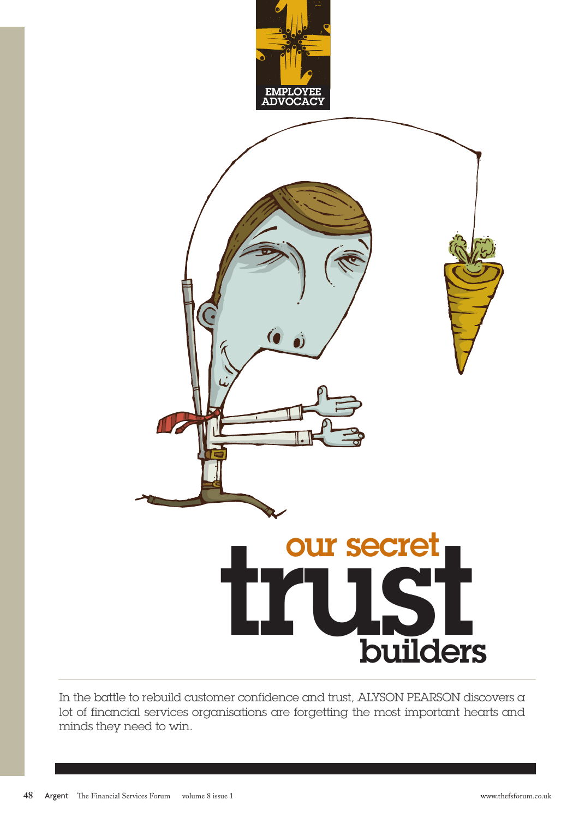

In the battle to rebuild customer confidence and trust, ALYSON PEARSON discovers a lot of financial services organisations are forgetting the most important hearts and minds they need to win.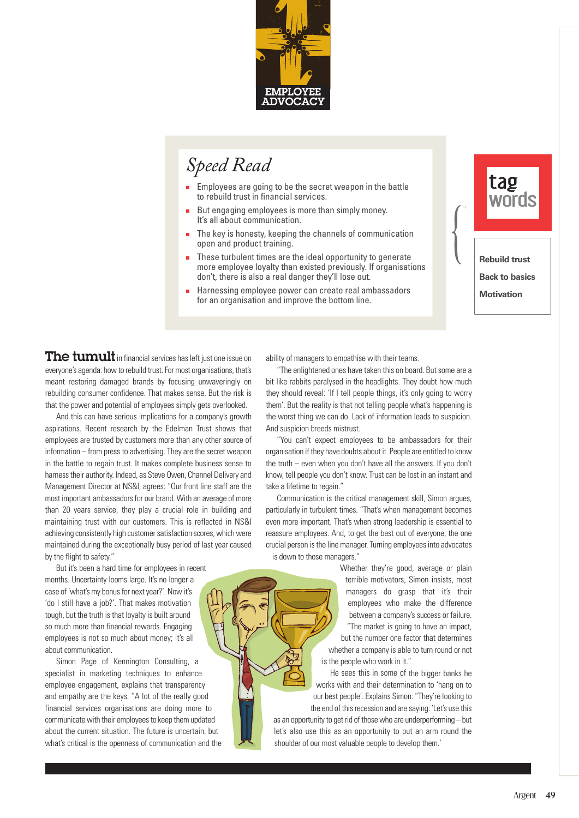

# *Speed Read*

- Employees are going to be the secret weapon in the battle to rebuild trust in financial services.
- But engaging employees is more than simply money. It's all about communication.
- The key is honesty, keeping the channels of communication  $\blacksquare$ open and product training.
- These turbulent times are the ideal opportunity to generate п more employee loyalty than existed previously. If organisations don't, there is also a real danger they'll lose out.
- É Harnessing employee power can create real ambassadors for an organisation and improve the bottom line.



The tumult in financial services has left just one issue on everyone's agenda: how to rebuild trust. For most organisations, that's meant restoring damaged brands by focusing unwaveringly on rebuilding consumer confidence. That makes sense. But the risk is that the power and potential of employees simply gets overlooked.

And this can have serious implications for a company's growth aspirations. Recent research by the Edelman Trust shows that employees are trusted by customers more than any other source of information – from press to advertising. They are the secret weapon in the battle to regain trust. It makes complete business sense to harness their authority. Indeed, as Steve Owen, Channel Delivery and Management Director at NS&I, agrees: "Our front line staff are the most important ambassadors for our brand. With an average of more than 20 years service, they play a crucial role in building and maintaining trust with our customers. This is reflected in NS&I achieving consistently high customer satisfaction scores, which were maintained during the exceptionally busy period of last year caused by the flight to safety."

But it's been a hard time for employees in recent months. Uncertainty looms large. It's no longer a case of 'what's my bonus for next year?'. Now it's 'do I still have a job?'. That makes motivation tough, but the truth is that loyalty is built around so much more than financial rewards. Engaging employees is not so much about money; it's all about communication.

Simon Page of Kennington Consulting, a specialist in marketing techniques to enhance employee engagement, explains that transparency and empathy are the keys. "A lot of the really good financial services organisations are doing more to communicate with their employees to keep them updated about the current situation. The future is uncertain, but what's critical is the openness of communication and the ability of managers to empathise with their teams.

"The enlightened ones have taken this on board. But some are a bit like rabbits paralysed in the headlights. They doubt how much they should reveal: 'If I tell people things, it's only going to worry them'. But the reality is that not telling people what's happening is the worst thing we can do. Lack of information leads to suspicion. And suspicion breeds mistrust.

"You can't expect employees to be ambassadors for their organisation if they have doubts about it. People are entitled to know the truth – even when you don't have all the answers. If you don't know, tell people you don't know. Trust can be lost in an instant and take a lifetime to regain."

Communication is the critical management skill, Simon argues, particularly in turbulent times. "That's when management becomes even more important. That's when strong leadership is essential to reassure employees. And, to get the best out of everyone, the one crucial person is the line manager. Turning employees into advocates is down to those managers."

> Whether they're good, average or plain terrible motivators, Simon insists, most managers do grasp that it's their employees who make the difference between a company's success or failure. "The market is going to have an impact, but the number one factor that determines whether a company is able to turn round or not is the people who work in it."

He sees this in some of the bigger banks he works with and their determination to 'hang on to our best people'. Explains Simon: "They're looking to the end of this recession and are saying: 'Let's use this as an opportunity to get rid of those who are underperforming – but let's also use this as an opportunity to put an arm round the shoulder of our most valuable people to develop them.'